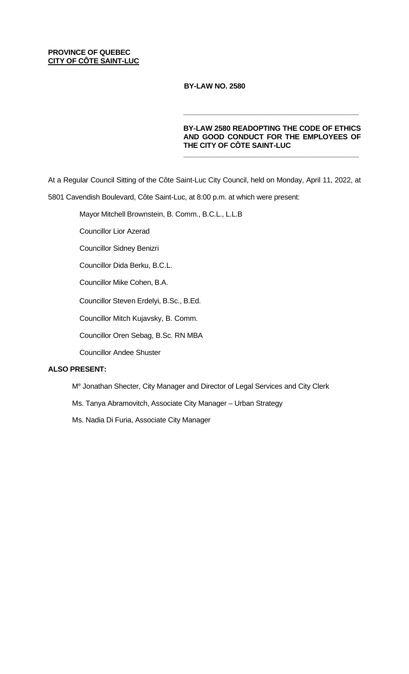# **PROVINCE OF QUEBEC CITY OF CÔTE SAINT-LUC**

 **BY-LAW NO. 2580** 

# **BY-LAW 2580 READOPTING THE CODE OF ETHICS AND GOOD CONDUCT FOR THE EMPLOYEES OF THE CITY OF CÔTE SAINT-LUC**

**\_\_\_\_\_\_\_\_\_\_\_\_\_\_\_\_\_\_\_\_\_\_\_\_\_\_\_\_\_\_\_\_\_\_\_\_\_\_\_\_\_\_\_\_**

**\_\_\_\_\_\_\_\_\_\_\_\_\_\_\_\_\_\_\_\_\_\_\_\_\_\_\_\_\_\_\_\_\_\_\_\_\_\_\_\_\_\_\_\_**

At a Regular Council Sitting of the Côte Saint-Luc City Council, held on Monday, April 11, 2022, at

5801 Cavendish Boulevard, Côte Saint-Luc, at 8:00 p.m. at which were present:

Mayor Mitchell Brownstein, B. Comm., B.C.L., L.L.B

Councillor Lior Azerad

Councillor Sidney Benizri

Councillor Dida Berku, B.C.L.

Councillor Mike Cohen, B.A.

Councillor Steven Erdelyi, B.Sc., B.Ed.

Councillor Mitch Kujavsky, B. Comm.

Councillor Oren Sebag, B.Sc. RN MBA

Councillor Andee Shuster

# **ALSO PRESENT:**

Me Jonathan Shecter, City Manager and Director of Legal Services and City Clerk

Ms. Tanya Abramovitch, Associate City Manager – Urban Strategy

Ms. Nadia Di Furia, Associate City Manager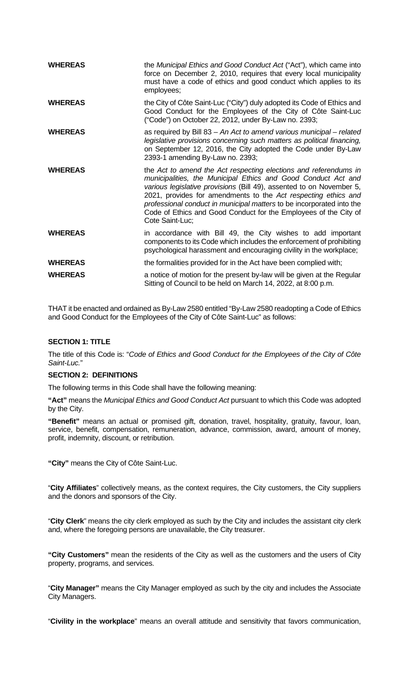| <b>WHEREAS</b> | the Municipal Ethics and Good Conduct Act ("Act"), which came into                                                                                                                                                                                                                                                                                                                                                                          |
|----------------|---------------------------------------------------------------------------------------------------------------------------------------------------------------------------------------------------------------------------------------------------------------------------------------------------------------------------------------------------------------------------------------------------------------------------------------------|
|                | force on December 2, 2010, requires that every local municipality<br>must have a code of ethics and good conduct which applies to its<br>employees;                                                                                                                                                                                                                                                                                         |
| <b>WHEREAS</b> | the City of Côte Saint-Luc ("City") duly adopted its Code of Ethics and<br>Good Conduct for the Employees of the City of Côte Saint-Luc<br>("Code") on October 22, 2012, under By-Law no. 2393;                                                                                                                                                                                                                                             |
| <b>WHEREAS</b> | as required by Bill 83 - An Act to amend various municipal - related<br>legislative provisions concerning such matters as political financing,<br>on September 12, 2016, the City adopted the Code under By-Law<br>2393-1 amending By-Law no. 2393;                                                                                                                                                                                         |
| <b>WHEREAS</b> | the Act to amend the Act respecting elections and referendums in<br>municipalities, the Municipal Ethics and Good Conduct Act and<br>various legislative provisions (Bill 49), assented to on November 5,<br>2021, provides for amendments to the Act respecting ethics and<br>professional conduct in municipal matters to be incorporated into the<br>Code of Ethics and Good Conduct for the Employees of the City of<br>Cote Saint-Luc; |
| <b>WHEREAS</b> | in accordance with Bill 49, the City wishes to add important<br>components to its Code which includes the enforcement of prohibiting<br>psychological harassment and encouraging civility in the workplace;                                                                                                                                                                                                                                 |
| <b>WHEREAS</b> | the formalities provided for in the Act have been complied with;                                                                                                                                                                                                                                                                                                                                                                            |
| <b>WHEREAS</b> | a notice of motion for the present by-law will be given at the Regular<br>Sitting of Council to be held on March 14, 2022, at 8:00 p.m.                                                                                                                                                                                                                                                                                                     |

THAT it be enacted and ordained as By-Law 2580 entitled "By-Law 2580 readopting a Code of Ethics and Good Conduct for the Employees of the City of Côte Saint-Luc" as follows:

# **SECTION 1: TITLE**

The title of this Code is: "*Code of Ethics and Good Conduct for the Employees of the City of Côte Saint-Luc.*"

### **SECTION 2: DEFINITIONS**

The following terms in this Code shall have the following meaning:

**"Act"** means the *Municipal Ethics and Good Conduct Act* pursuant to which this Code was adopted by the City.

**"Benefit"** means an actual or promised gift, donation, travel, hospitality, gratuity, favour, loan, service, benefit, compensation, remuneration, advance, commission, award, amount of money, profit, indemnity, discount, or retribution.

**"City"** means the City of Côte Saint-Luc.

"**City Affiliates**" collectively means, as the context requires, the City customers, the City suppliers and the donors and sponsors of the City.

"**City Clerk**" means the city clerk employed as such by the City and includes the assistant city clerk and, where the foregoing persons are unavailable, the City treasurer.

**"City Customers"** mean the residents of the City as well as the customers and the users of City property, programs, and services.

"**City Manager"** means the City Manager employed as such by the city and includes the Associate City Managers.

"**Civility in the workplace**" means an overall attitude and sensitivity that favors communication,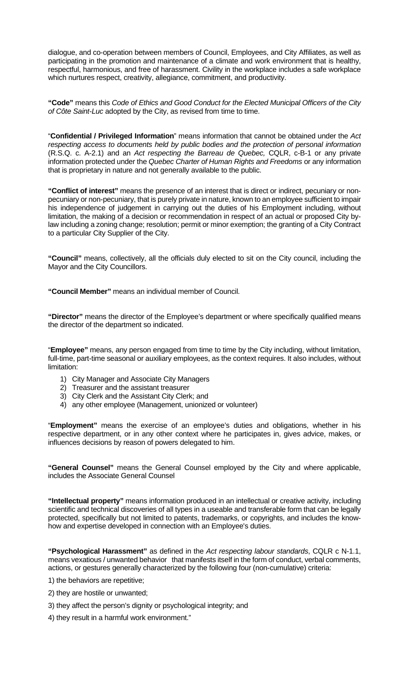dialogue, and co-operation between members of Council, Employees, and City Affiliates, as well as participating in the promotion and maintenance of a climate and work environment that is healthy, respectful, harmonious, and free of harassment. Civility in the workplace includes a safe workplace which nurtures respect, creativity, allegiance, commitment, and productivity.

**"Code"** means this *Code of Ethics and Good Conduct for the Elected Municipal Officers of the City of Côte Saint-Luc* adopted by the City, as revised from time to time.

"**Confidential / Privileged Information**" means information that cannot be obtained under the *Act respecting access to documents held by public bodies and the protection of personal information*  (R.S.Q. c. A-2.1) and an *Act respecting the Barreau de Quebec,* CQLR, c-B-1 or any private information protected under the *Quebec Charter of Human Rights and Freedoms* or any information that is proprietary in nature and not generally available to the public.

**"Conflict of interest"** means the presence of an interest that is direct or indirect, pecuniary or nonpecuniary or non-pecuniary, that is purely private in nature, known to an employee sufficient to impair his independence of judgement in carrying out the duties of his Employment including, without limitation, the making of a decision or recommendation in respect of an actual or proposed City bylaw including a zoning change; resolution; permit or minor exemption; the granting of a City Contract to a particular City Supplier of the City.

**"Council"** means, collectively, all the officials duly elected to sit on the City council, including the Mayor and the City Councillors.

**"Council Member"** means an individual member of Council.

**"Director"** means the director of the Employee's department or where specifically qualified means the director of the department so indicated.

"**Employee"** means, any person engaged from time to time by the City including, without limitation, full-time, part-time seasonal or auxiliary employees, as the context requires. It also includes, without limitation:

- 1) City Manager and Associate City Managers
- 2) Treasurer and the assistant treasurer
- 3) City Clerk and the Assistant City Clerk; and
- 4) any other employee (Management, unionized or volunteer)

"**Employment"** means the exercise of an employee's duties and obligations, whether in his respective department, or in any other context where he participates in, gives advice, makes, or influences decisions by reason of powers delegated to him.

**"General Counsel"** means the General Counsel employed by the City and where applicable, includes the Associate General Counsel

**"Intellectual property"** means information produced in an intellectual or creative activity, including scientific and technical discoveries of all types in a useable and transferable form that can be legally protected, specifically but not limited to patents, trademarks, or copyrights, and includes the knowhow and expertise developed in connection with an Employee's duties.

**"Psychological Harassment"** as defined in the *Act respecting labour standards*, CQLR c N-1.1, means vexatious / unwanted behavior that manifests itself in the form of conduct, verbal comments, actions, or gestures generally characterized by the following four (non-cumulative) criteria:

- 1) the behaviors are repetitive;
- 2) they are hostile or unwanted;
- 3) they affect the person's dignity or psychological integrity; and
- 4) they result in a harmful work environment."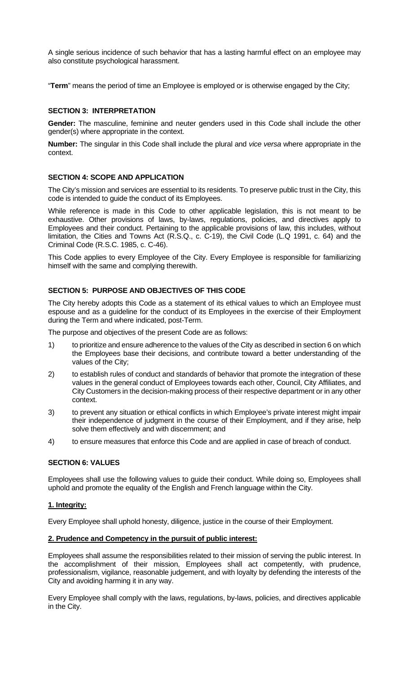A single serious incidence of such behavior that has a lasting harmful effect on an employee may also constitute psychological harassment.

"**Term**" means the period of time an Employee is employed or is otherwise engaged by the City;

## **SECTION 3: INTERPRETATION**

**Gender:** The masculine, feminine and neuter genders used in this Code shall include the other gender(s) where appropriate in the context.

**Number:** The singular in this Code shall include the plural and *vice versa* where appropriate in the context.

### **SECTION 4: SCOPE AND APPLICATION**

The City's mission and services are essential to its residents. To preserve public trust in the City, this code is intended to guide the conduct of its Employees.

While reference is made in this Code to other applicable legislation, this is not meant to be exhaustive. Other provisions of laws, by-laws, regulations, policies, and directives apply to Employees and their conduct. Pertaining to the applicable provisions of law, this includes, without limitation, the Cities and Towns Act (R.S.Q., c. C-19), the Civil Code (L.Q 1991, c. 64) and the Criminal Code (R.S.C. 1985, c. C-46).

This Code applies to every Employee of the City. Every Employee is responsible for familiarizing himself with the same and complying therewith.

### **SECTION 5: PURPOSE AND OBJECTIVES OF THIS CODE**

The City hereby adopts this Code as a statement of its ethical values to which an Employee must espouse and as a guideline for the conduct of its Employees in the exercise of their Employment during the Term and where indicated, post-Term.

The purpose and objectives of the present Code are as follows:

- 1) to prioritize and ensure adherence to the values of the City as described in section 6 on which the Employees base their decisions, and contribute toward a better understanding of the values of the City;
- 2) to establish rules of conduct and standards of behavior that promote the integration of these values in the general conduct of Employees towards each other, Council, City Affiliates, and City Customers in the decision-making process of their respective department or in any other context.
- 3) to prevent any situation or ethical conflicts in which Employee's private interest might impair their independence of judgment in the course of their Employment, and if they arise, help solve them effectively and with discernment; and
- 4) to ensure measures that enforce this Code and are applied in case of breach of conduct.

### **SECTION 6: VALUES**

Employees shall use the following values to guide their conduct. While doing so, Employees shall uphold and promote the equality of the English and French language within the City.

### **1. Integrity:**

Every Employee shall uphold honesty, diligence, justice in the course of their Employment.

### **2. Prudence and Competency in the pursuit of public interest:**

Employees shall assume the responsibilities related to their mission of serving the public interest. In the accomplishment of their mission, Employees shall act competently, with prudence, professionalism, vigilance, reasonable judgement, and with loyalty by defending the interests of the City and avoiding harming it in any way.

Every Employee shall comply with the laws, regulations, by-laws, policies, and directives applicable in the City.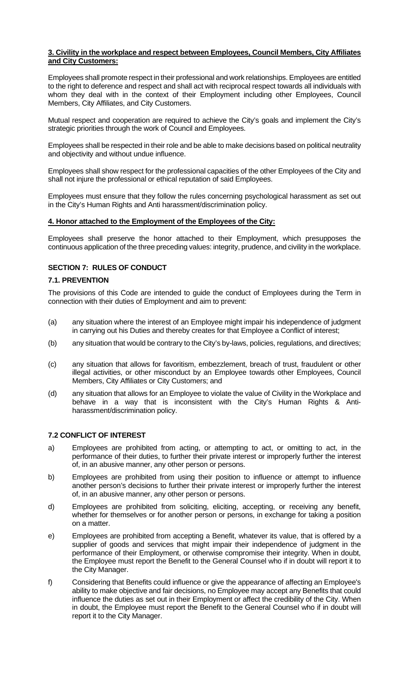## **3. Civility in the workplace and respect between Employees, Council Members, City Affiliates and City Customers:**

Employees shall promote respect in their professional and work relationships. Employees are entitled to the right to deference and respect and shall act with reciprocal respect towards all individuals with whom they deal with in the context of their Employment including other Employees, Council Members, City Affiliates, and City Customers.

Mutual respect and cooperation are required to achieve the City's goals and implement the City's strategic priorities through the work of Council and Employees.

Employees shall be respected in their role and be able to make decisions based on political neutrality and objectivity and without undue influence.

Employees shall show respect for the professional capacities of the other Employees of the City and shall not injure the professional or ethical reputation of said Employees.

Employees must ensure that they follow the rules concerning psychological harassment as set out in the City's Human Rights and Anti harassment/discrimination policy.

## **4. Honor attached to the Employment of the Employees of the City:**

Employees shall preserve the honor attached to their Employment, which presupposes the continuous application of the three preceding values: integrity, prudence, and civility in the workplace.

## **SECTION 7: RULES OF CONDUCT**

## **7.1. PREVENTION**

The provisions of this Code are intended to guide the conduct of Employees during the Term in connection with their duties of Employment and aim to prevent:

- (a) any situation where the interest of an Employee might impair his independence of judgment in carrying out his Duties and thereby creates for that Employee a Conflict of interest;
- (b) any situation that would be contrary to the City's by-laws, policies, regulations, and directives;
- (c) any situation that allows for favoritism, embezzlement, breach of trust, fraudulent or other illegal activities, or other misconduct by an Employee towards other Employees, Council Members, City Affiliates or City Customers; and
- (d) any situation that allows for an Employee to violate the value of Civility in the Workplace and behave in a way that is inconsistent with the City's Human Rights & Antiharassment/discrimination policy.

# **7.2 CONFLICT OF INTEREST**

- a) Employees are prohibited from acting, or attempting to act, or omitting to act, in the performance of their duties, to further their private interest or improperly further the interest of, in an abusive manner, any other person or persons.
- b) Employees are prohibited from using their position to influence or attempt to influence another person's decisions to further their private interest or improperly further the interest of, in an abusive manner, any other person or persons.
- d) Employees are prohibited from soliciting, eliciting, accepting, or receiving any benefit, whether for themselves or for another person or persons, in exchange for taking a position on a matter.
- e) Employees are prohibited from accepting a Benefit, whatever its value, that is offered by a supplier of goods and services that might impair their independence of judgment in the performance of their Employment, or otherwise compromise their integrity. When in doubt, the Employee must report the Benefit to the General Counsel who if in doubt will report it to the City Manager.
- f) Considering that Benefits could influence or give the appearance of affecting an Employee's ability to make objective and fair decisions, no Employee may accept any Benefits that could influence the duties as set out in their Employment or affect the credibility of the City. When in doubt, the Employee must report the Benefit to the General Counsel who if in doubt will report it to the City Manager.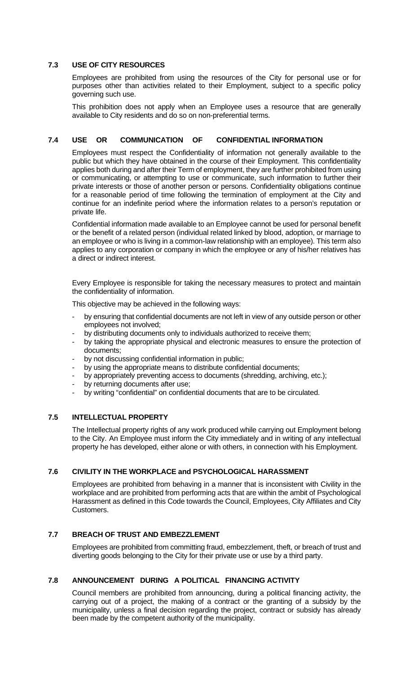## **7.3 USE OF CITY RESOURCES**

Employees are prohibited from using the resources of the City for personal use or for purposes other than activities related to their Employment, subject to a specific policy governing such use.

This prohibition does not apply when an Employee uses a resource that are generally available to City residents and do so on non-preferential terms.

# **7.4 USE OR COMMUNICATION OF CONFIDENTIAL INFORMATION**

Employees must respect the Confidentiality of information not generally available to the public but which they have obtained in the course of their Employment. This confidentiality applies both during and after their Term of employment, they are further prohibited from using or communicating, or attempting to use or communicate, such information to further their private interests or those of another person or persons. Confidentiality obligations continue for a reasonable period of time following the termination of employment at the City and continue for an indefinite period where the information relates to a person's reputation or private life.

Confidential information made available to an Employee cannot be used for personal benefit or the benefit of a related person (individual related linked by blood, adoption, or marriage to an employee or who is living in a common-law relationship with an employee). This term also applies to any corporation or company in which the employee or any of his/her relatives has a direct or indirect interest.

Every Employee is responsible for taking the necessary measures to protect and maintain the confidentiality of information.

This objective may be achieved in the following ways:

- by ensuring that confidential documents are not left in view of any outside person or other employees not involved;
- by distributing documents only to individuals authorized to receive them;
- by taking the appropriate physical and electronic measures to ensure the protection of documents;
- by not discussing confidential information in public;
- by using the appropriate means to distribute confidential documents;
- by appropriately preventing access to documents (shredding, archiving, etc.);
- by returning documents after use;
- by writing "confidential" on confidential documents that are to be circulated.

## **7.5 INTELLECTUAL PROPERTY**

The Intellectual property rights of any work produced while carrying out Employment belong to the City. An Employee must inform the City immediately and in writing of any intellectual property he has developed, either alone or with others, in connection with his Employment.

### **7.6 CIVILITY IN THE WORKPLACE and PSYCHOLOGICAL HARASSMENT**

Employees are prohibited from behaving in a manner that is inconsistent with Civility in the workplace and are prohibited from performing acts that are within the ambit of Psychological Harassment as defined in this Code towards the Council, Employees, City Affiliates and City Customers.

## **7.7 BREACH OF TRUST AND EMBEZZLEMENT**

Employees are prohibited from committing fraud, embezzlement, theft, or breach of trust and diverting goods belonging to the City for their private use or use by a third party.

## **7.8 ANNOUNCEMENT DURING A POLITICAL FINANCING ACTIVITY**

Council members are prohibited from announcing, during a political financing activity, the carrying out of a project, the making of a contract or the granting of a subsidy by the municipality, unless a final decision regarding the project, contract or subsidy has already been made by the competent authority of the municipality.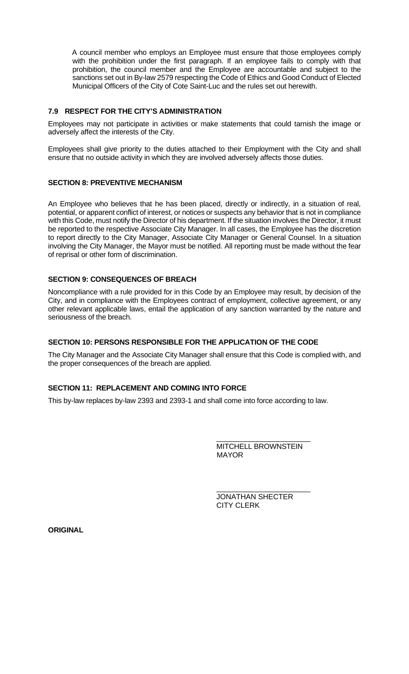A council member who employs an Employee must ensure that those employees comply with the prohibition under the first paragraph. If an employee fails to comply with that prohibition, the council member and the Employee are accountable and subject to the sanctions set out in By-law 2579 respecting the Code of Ethics and Good Conduct of Elected Municipal Officers of the City of Cote Saint-Luc and the rules set out herewith.

# **7.9 RESPECT FOR THE CITY'S ADMINISTRATION**

Employees may not participate in activities or make statements that could tarnish the image or adversely affect the interests of the City.

Employees shall give priority to the duties attached to their Employment with the City and shall ensure that no outside activity in which they are involved adversely affects those duties.

## **SECTION 8: PREVENTIVE MECHANISM**

An Employee who believes that he has been placed, directly or indirectly, in a situation of real, potential, or apparent conflict of interest, or notices or suspects any behavior that is not in compliance with this Code, must notify the Director of his department. If the situation involves the Director, it must be reported to the respective Associate City Manager. In all cases, the Employee has the discretion to report directly to the City Manager, Associate City Manager or General Counsel. In a situation involving the City Manager, the Mayor must be notified. All reporting must be made without the fear of reprisal or other form of discrimination.

# **SECTION 9: CONSEQUENCES OF BREACH**

Noncompliance with a rule provided for in this Code by an Employee may result, by decision of the City, and in compliance with the Employees contract of employment, collective agreement, or any other relevant applicable laws, entail the application of any sanction warranted by the nature and seriousness of the breach.

# **SECTION 10: PERSONS RESPONSIBLE FOR THE APPLICATION OF THE CODE**

The City Manager and the Associate City Manager shall ensure that this Code is complied with, and the proper consequences of the breach are applied.

# **SECTION 11: REPLACEMENT AND COMING INTO FORCE**

This by-law replaces by-law 2393 and 2393-1 and shall come into force according to law.

\_\_\_\_\_\_\_\_\_\_\_\_\_\_\_\_\_\_\_\_\_\_\_ MITCHELL BROWNSTEIN MAYOR

\_\_\_\_\_\_\_\_\_\_\_\_\_\_\_\_\_\_\_\_\_\_\_ JONATHAN SHECTER CITY CLERK

**ORIGINAL**